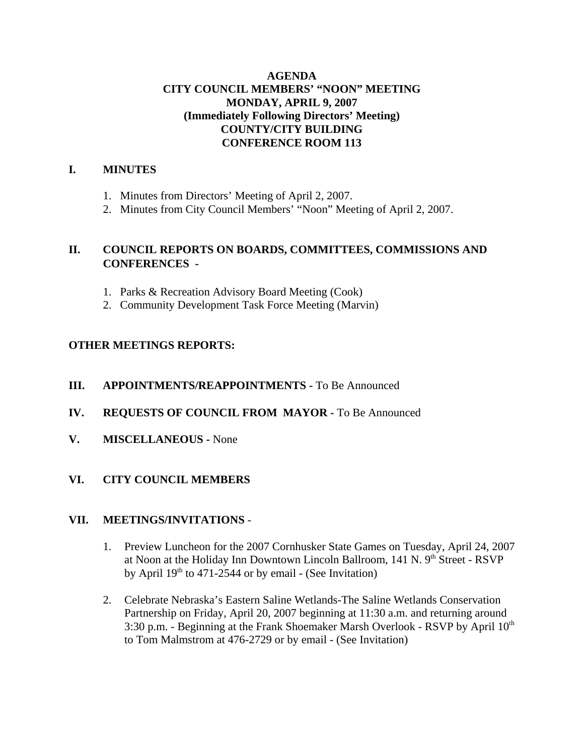# **AGENDA CITY COUNCIL MEMBERS' "NOON" MEETING MONDAY, APRIL 9, 2007 (Immediately Following Directors' Meeting) COUNTY/CITY BUILDING CONFERENCE ROOM 113**

# **I. MINUTES**

- 1. Minutes from Directors' Meeting of April 2, 2007.
- 2. Minutes from City Council Members' "Noon" Meeting of April 2, 2007.

# **II. COUNCIL REPORTS ON BOARDS, COMMITTEES, COMMISSIONS AND CONFERENCES -**

- 1. Parks & Recreation Advisory Board Meeting (Cook)
- 2. Community Development Task Force Meeting (Marvin)

# **OTHER MEETINGS REPORTS:**

- **III.** APPOINTMENTS/REAPPOINTMENTS To Be Announced
- **IV. REQUESTS OF COUNCIL FROM MAYOR -** To Be Announced
- **V. MISCELLANEOUS** None

# **VI. CITY COUNCIL MEMBERS**

### **VII. MEETINGS/INVITATIONS** -

- 1. Preview Luncheon for the 2007 Cornhusker State Games on Tuesday, April 24, 2007 at Noon at the Holiday Inn Downtown Lincoln Ballroom, 141 N. 9th Street - RSVP by April  $19<sup>th</sup>$  to 471-2544 or by email - (See Invitation)
- 2. Celebrate Nebraska's Eastern Saline Wetlands-The Saline Wetlands Conservation Partnership on Friday, April 20, 2007 beginning at 11:30 a.m. and returning around 3:30 p.m. - Beginning at the Frank Shoemaker Marsh Overlook - RSVP by April  $10<sup>th</sup>$ to Tom Malmstrom at 476-2729 or by email - (See Invitation)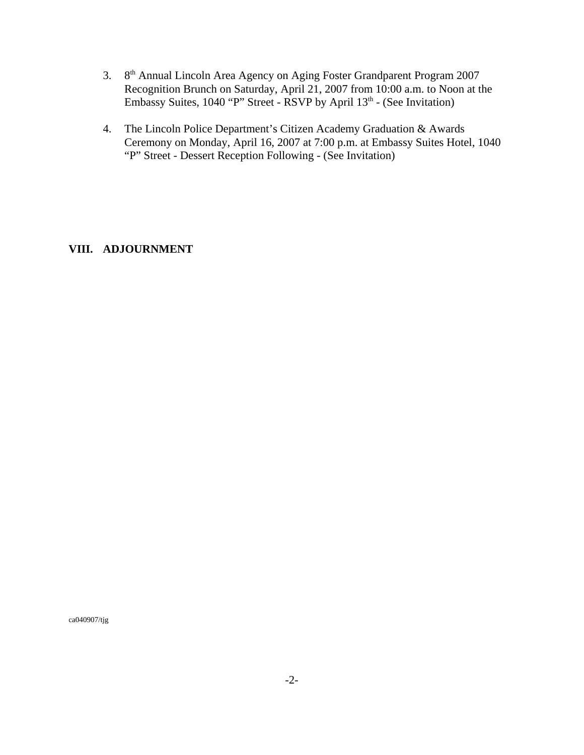- 3. 8th Annual Lincoln Area Agency on Aging Foster Grandparent Program 2007 Recognition Brunch on Saturday, April 21, 2007 from 10:00 a.m. to Noon at the Embassy Suites,  $1040$  "P" Street - RSVP by April  $13<sup>th</sup>$  - (See Invitation)
- 4. The Lincoln Police Department's Citizen Academy Graduation & Awards Ceremony on Monday, April 16, 2007 at 7:00 p.m. at Embassy Suites Hotel, 1040 "P" Street - Dessert Reception Following - (See Invitation)

### **VIII. ADJOURNMENT**

ca040907/tjg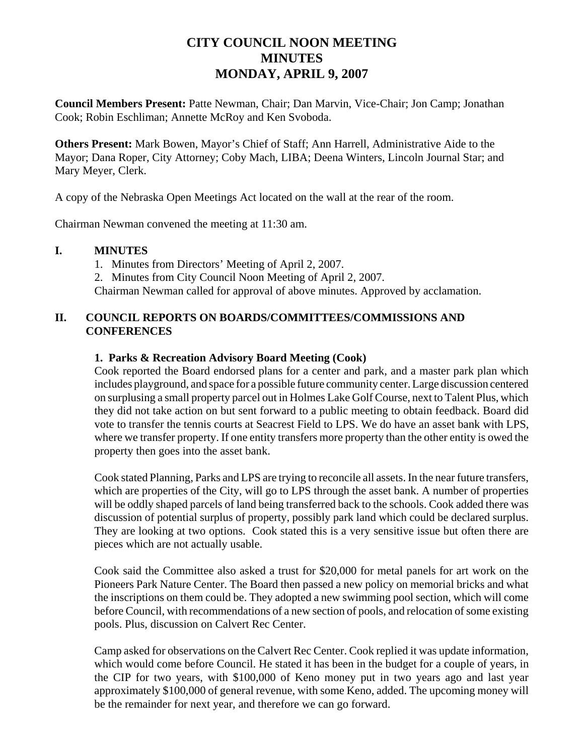# **CITY COUNCIL NOON MEETING MINUTES MONDAY, APRIL 9, 2007**

**Council Members Present:** Patte Newman, Chair; Dan Marvin, Vice-Chair; Jon Camp; Jonathan Cook; Robin Eschliman; Annette McRoy and Ken Svoboda.

**Others Present:** Mark Bowen, Mayor's Chief of Staff; Ann Harrell, Administrative Aide to the Mayor; Dana Roper, City Attorney; Coby Mach, LIBA; Deena Winters, Lincoln Journal Star; and Mary Meyer, Clerk.

A copy of the Nebraska Open Meetings Act located on the wall at the rear of the room.

Chairman Newman convened the meeting at 11:30 am.

### **I. MINUTES**

1. Minutes from Directors' Meeting of April 2, 2007. 2. Minutes from City Council Noon Meeting of April 2, 2007. Chairman Newman called for approval of above minutes. Approved by acclamation.

# **II. COUNCIL REPORTS ON BOARDS/COMMITTEES/COMMISSIONS AND CONFERENCES**

### **1. Parks & Recreation Advisory Board Meeting (Cook)**

Cook reported the Board endorsed plans for a center and park, and a master park plan which includes playground, and space for a possible future community center. Large discussion centered on surplusing a small property parcel out in Holmes Lake Golf Course, next to Talent Plus, which they did not take action on but sent forward to a public meeting to obtain feedback. Board did vote to transfer the tennis courts at Seacrest Field to LPS. We do have an asset bank with LPS, where we transfer property. If one entity transfers more property than the other entity is owed the property then goes into the asset bank.

Cook stated Planning, Parks and LPS are trying to reconcile all assets. In the near future transfers, which are properties of the City, will go to LPS through the asset bank. A number of properties will be oddly shaped parcels of land being transferred back to the schools. Cook added there was discussion of potential surplus of property, possibly park land which could be declared surplus. They are looking at two options. Cook stated this is a very sensitive issue but often there are pieces which are not actually usable.

Cook said the Committee also asked a trust for \$20,000 for metal panels for art work on the Pioneers Park Nature Center. The Board then passed a new policy on memorial bricks and what the inscriptions on them could be. They adopted a new swimming pool section, which will come before Council, with recommendations of a new section of pools, and relocation of some existing pools. Plus, discussion on Calvert Rec Center.

Camp asked for observations on the Calvert Rec Center. Cook replied it was update information, which would come before Council. He stated it has been in the budget for a couple of years, in the CIP for two years, with \$100,000 of Keno money put in two years ago and last year approximately \$100,000 of general revenue, with some Keno, added. The upcoming money will be the remainder for next year, and therefore we can go forward.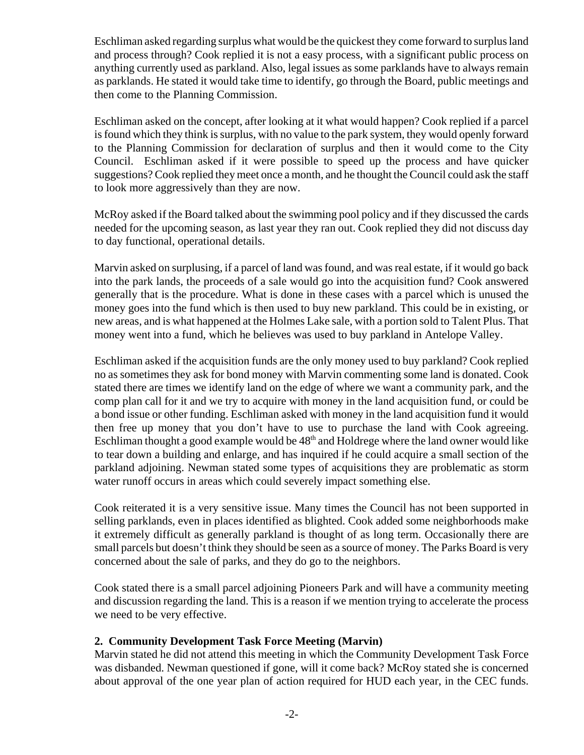Eschliman asked regarding surplus what would be the quickest they come forward to surplus land and process through? Cook replied it is not a easy process, with a significant public process on anything currently used as parkland. Also, legal issues as some parklands have to always remain as parklands. He stated it would take time to identify, go through the Board, public meetings and then come to the Planning Commission.

Eschliman asked on the concept, after looking at it what would happen? Cook replied if a parcel is found which they think is surplus, with no value to the park system, they would openly forward to the Planning Commission for declaration of surplus and then it would come to the City Council. Eschliman asked if it were possible to speed up the process and have quicker suggestions? Cook replied they meet once a month, and he thought the Council could ask the staff to look more aggressively than they are now.

McRoy asked if the Board talked about the swimming pool policy and if they discussed the cards needed for the upcoming season, as last year they ran out. Cook replied they did not discuss day to day functional, operational details.

Marvin asked on surplusing, if a parcel of land was found, and was real estate, if it would go back into the park lands, the proceeds of a sale would go into the acquisition fund? Cook answered generally that is the procedure. What is done in these cases with a parcel which is unused the money goes into the fund which is then used to buy new parkland. This could be in existing, or new areas, and is what happened at the Holmes Lake sale, with a portion sold to Talent Plus. That money went into a fund, which he believes was used to buy parkland in Antelope Valley.

Eschliman asked if the acquisition funds are the only money used to buy parkland? Cook replied no as sometimes they ask for bond money with Marvin commenting some land is donated. Cook stated there are times we identify land on the edge of where we want a community park, and the comp plan call for it and we try to acquire with money in the land acquisition fund, or could be a bond issue or other funding. Eschliman asked with money in the land acquisition fund it would then free up money that you don't have to use to purchase the land with Cook agreeing. Eschliman thought a good example would be  $48<sup>th</sup>$  and Holdrege where the land owner would like to tear down a building and enlarge, and has inquired if he could acquire a small section of the parkland adjoining. Newman stated some types of acquisitions they are problematic as storm water runoff occurs in areas which could severely impact something else.

Cook reiterated it is a very sensitive issue. Many times the Council has not been supported in selling parklands, even in places identified as blighted. Cook added some neighborhoods make it extremely difficult as generally parkland is thought of as long term. Occasionally there are small parcels but doesn't think they should be seen as a source of money. The Parks Board is very concerned about the sale of parks, and they do go to the neighbors.

Cook stated there is a small parcel adjoining Pioneers Park and will have a community meeting and discussion regarding the land. This is a reason if we mention trying to accelerate the process we need to be very effective.

# **2. Community Development Task Force Meeting (Marvin)**

Marvin stated he did not attend this meeting in which the Community Development Task Force was disbanded. Newman questioned if gone, will it come back? McRoy stated she is concerned about approval of the one year plan of action required for HUD each year, in the CEC funds.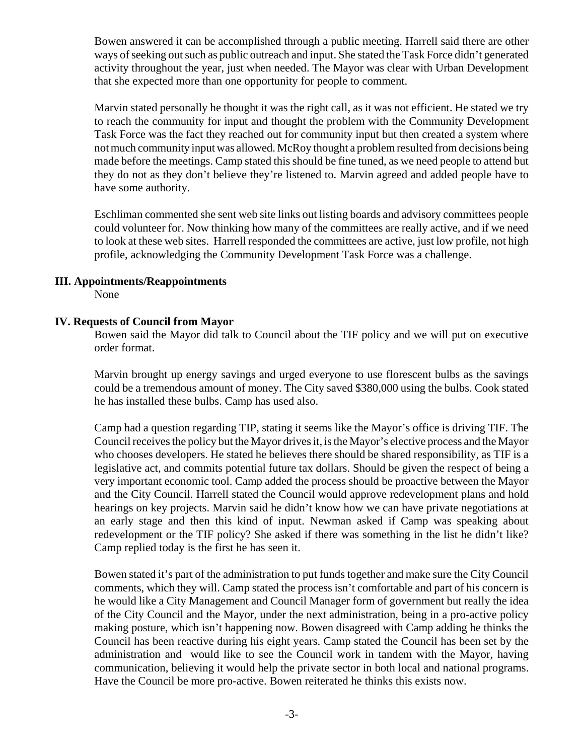Bowen answered it can be accomplished through a public meeting. Harrell said there are other ways of seeking out such as public outreach and input. She stated the Task Force didn't generated activity throughout the year, just when needed. The Mayor was clear with Urban Development that she expected more than one opportunity for people to comment.

Marvin stated personally he thought it was the right call, as it was not efficient. He stated we try to reach the community for input and thought the problem with the Community Development Task Force was the fact they reached out for community input but then created a system where not much community input was allowed. McRoy thought a problem resulted from decisions being made before the meetings. Camp stated this should be fine tuned, as we need people to attend but they do not as they don't believe they're listened to. Marvin agreed and added people have to have some authority.

Eschliman commented she sent web site links out listing boards and advisory committees people could volunteer for. Now thinking how many of the committees are really active, and if we need to look at these web sites. Harrell responded the committees are active, just low profile, not high profile, acknowledging the Community Development Task Force was a challenge.

### **III. Appointments/Reappointments**

None

### **IV. Requests of Council from Mayor**

Bowen said the Mayor did talk to Council about the TIF policy and we will put on executive order format.

Marvin brought up energy savings and urged everyone to use florescent bulbs as the savings could be a tremendous amount of money. The City saved \$380,000 using the bulbs. Cook stated he has installed these bulbs. Camp has used also.

Camp had a question regarding TIP, stating it seems like the Mayor's office is driving TIF. The Council receives the policy but the Mayor drives it, is the Mayor's elective process and the Mayor who chooses developers. He stated he believes there should be shared responsibility, as TIF is a legislative act, and commits potential future tax dollars. Should be given the respect of being a very important economic tool. Camp added the process should be proactive between the Mayor and the City Council. Harrell stated the Council would approve redevelopment plans and hold hearings on key projects. Marvin said he didn't know how we can have private negotiations at an early stage and then this kind of input. Newman asked if Camp was speaking about redevelopment or the TIF policy? She asked if there was something in the list he didn't like? Camp replied today is the first he has seen it.

Bowen stated it's part of the administration to put funds together and make sure the City Council comments, which they will. Camp stated the process isn't comfortable and part of his concern is he would like a City Management and Council Manager form of government but really the idea of the City Council and the Mayor, under the next administration, being in a pro-active policy making posture, which isn't happening now. Bowen disagreed with Camp adding he thinks the Council has been reactive during his eight years. Camp stated the Council has been set by the administration and would like to see the Council work in tandem with the Mayor, having communication, believing it would help the private sector in both local and national programs. Have the Council be more pro-active. Bowen reiterated he thinks this exists now.